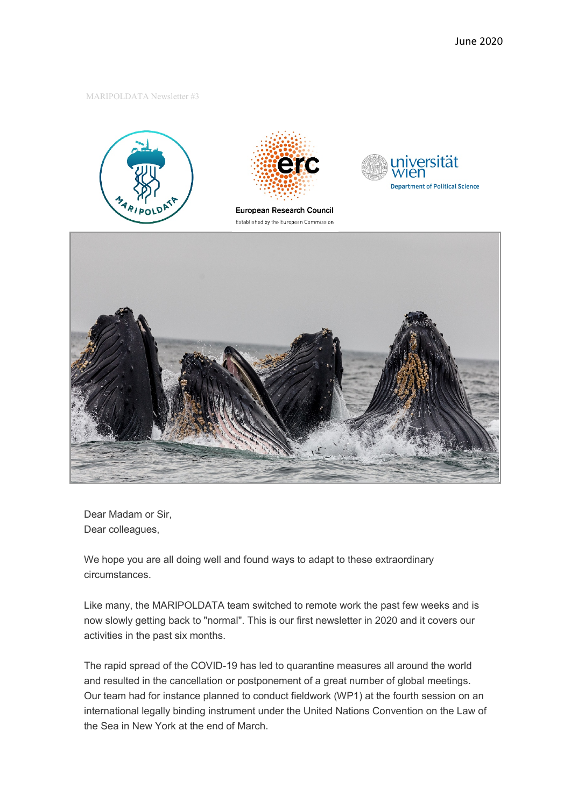#### MARIPOLDATA Newsletter #3





European Research Council Established by the European Commission





Dear Madam or Sir, Dear colleagues,

We hope you are all doing well and found ways to adapt to these extraordinary circumstances.

Like many, the MARIPOLDATA team switched to remote work the past few weeks and is now slowly getting back to "normal". This is our first newsletter in 2020 and it covers our activities in the past six months.

The rapid spread of the COVID-19 has led to quarantine measures all around the world and resulted in the cancellation or postponement of a great number of global meetings. Our team had for instance planned to conduct fieldwork (WP1) at [the fourth session on an](https://www.un.org/bbnj/content/fourth-substantive-session)  [international legally binding instrument under the United Nations Convention on the Law of](https://www.un.org/bbnj/content/fourth-substantive-session)  [the Sea](https://www.un.org/bbnj/content/fourth-substantive-session) in New York at the end of March.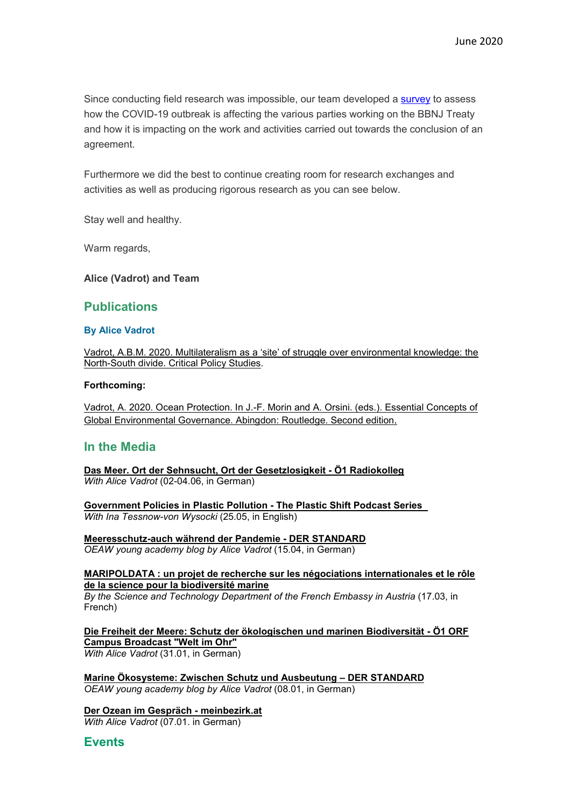Since conducting field research was impossible, our team developed a [survey](https://www.maripoldata.eu/research/#survey) to assess how the COVID-19 outbreak is affecting the various parties working on the BBNJ Treaty and how it is impacting on the work and activities carried out towards the conclusion of an agreement.

Furthermore we did the best to continue creating room for research exchanges and activities as well as producing rigorous research as you can see below.

Stay well and healthy.

Warm regards,

## **Alice (Vadrot) and Team**

# **Publications**

## **By Alice Vadrot**

[Vadrot, A.B.M. 2020. Multilateralism as a 'site' of struggle over environmental knowledge: the](https://www.tandfonline.com/doi/full/10.1080/19460171.2020.1768131)  [North-South divide. Critical Policy Studies.](https://www.tandfonline.com/doi/full/10.1080/19460171.2020.1768131)

### **Forthcoming:**

[Vadrot, A. 2020. Ocean Protection. In J.-F. Morin and A. Orsini. \(eds.\). Essential Concepts of](https://www.routledge.com/Essential-Concepts-of-Global-Environmental-Governance/Morin-Orsini/p/book/9780367418694)  [Global Environmental Governance. Abingdon: Routledge. Second edition](https://www.routledge.com/Essential-Concepts-of-Global-Environmental-Governance/Morin-Orsini/p/book/9780367418694).

# **In the Media**

**[Das Meer. Ort der Sehnsucht, Ort der Gesetzlosigkeit -](https://oe1.orf.at/player/20200602/600717) Ö1 Radiokolleg** *With Alice Vadrot* (02-04.06, in German)

**[Government Policies in Plastic Pollution -](https://www.youtube.com/watch?v=dJ3Ms4y9OBw) The Plastic Shift Podcast Series**  *With Ina Tessnow-von Wysocki* (25.05, in English)

**[Meeresschutz-auch während der Pandemie -](https://www.derstandard.at/story/2000116836168/meeresschutz-auch-waehrend-der-pandemie) DER STANDARD** *OEAW young academy blog by Alice Vadrot* (15.04, in German)

**[MARIPOLDATA : un projet de recherche sur les négociations internationales et le rôle](https://www.diplomatie.gouv.fr/fr/politique-etrangere-de-la-france/diplomatie-scientifique-et-universitaire/veille-scientifique-et-technologique/autriche/article/maripoldata-un-projet-de-recherche-sur-les-negociations-internationales-et-le)  [de la science pour la](https://www.diplomatie.gouv.fr/fr/politique-etrangere-de-la-france/diplomatie-scientifique-et-universitaire/veille-scientifique-et-technologique/autriche/article/maripoldata-un-projet-de-recherche-sur-les-negociations-internationales-et-le) biodiversité marine** *By the Science and Technology Department of the French Embassy in Austria* (17.03, in French)

**[Die Freiheit der Meere: Schutz der ökologischen und marinen Biodiversität -](https://oead.at/de/aktuelles/artikel/2020/01/die-freiheit-der-meere-schutz-der-oekologischen-und-marinen-biodiversitaet/) Ö1 ORF [Campus Broadcast "Welt im Ohr"](https://oead.at/de/aktuelles/artikel/2020/01/die-freiheit-der-meere-schutz-der-oekologischen-und-marinen-biodiversitaet/)** *With Alice Vadrot* (31.01, in German)

**[Marine Ökosysteme: Zwischen Schutz und Ausbeutung –](https://www.derstandard.at/story/2000112388788/marine-oekosysteme-zwischen-schutz-und-ausbeutung) DER STANDARD** *OEAW young academy blog by Alice Vadrot* (08.01, in German)

**[Der Ozean im Gespräch -](https://www.meinbezirk.at/innere-stadt/c-lokales/der-ozean-im-gespraech_a3851301#gallery=null) meinbezirk.at** *With Alice Vadrot* (07.01. in German)

**Events**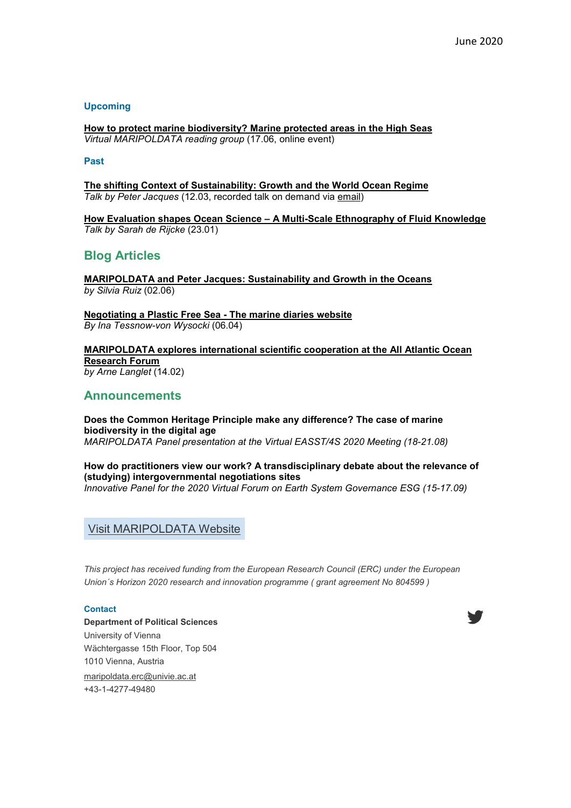## **Upcoming**

**[How to protect marine biodiversity? Marine protected areas in the High Seas](https://www.maripoldata.eu/newsevents/#readinggroup170620)** *Virtual MARIPOLDATA reading group* (17.06, online event)

#### **Past**

**[The shifting Context of Sustainability: Growth and the World Ocean Regime](https://www.maripoldata.eu/newsevents/#seminarseriepeterjacques)** *Talk by Peter Jacques* (12.03, recorded talk on demand via [email\)](mailto:maripoldata.erc@univie.ac.at)

**How Evaluation shapes Ocean Science – [A Multi-Scale Ethnography of Fluid Knowledge](https://www.maripoldata.eu/newsevents/#seminarseriesarahderijcke)** *Talk by Sarah de Rijcke* (23.01)

# **Blog Articles**

**[MARIPOLDATA and Peter Jacques: Sustainability and Growth in the Oceans](https://www.maripoldata.eu/maripoldata-and-peter-jacques-sustainability-and-growth-in-the-oceans/)** *by Silvia Ruiz* (02.06)

**[Negotiating a Plastic Free Sea -](https://www.themarinediaries.com/tmd-blog/negotiating-a-plastic-free-sea) The marine diaries website** *By Ina Tessnow-von Wysocki* (06.04)

**[MARIPOLDATA explores international scientific cooperation at](https://www.maripoldata.eu/maripoldata-explores-international-scientific-cooperation-at-the-all-atlantic-ocean-research-forum-on-the-importance-of-the-science-to-policy-interface/) the All Atlantic Ocean [Research Forum](https://www.maripoldata.eu/maripoldata-explores-international-scientific-cooperation-at-the-all-atlantic-ocean-research-forum-on-the-importance-of-the-science-to-policy-interface/)** *by Arne Langlet* (14.02)

## **Announcements**

**Does the Common Heritage Principle make any difference? The case of marine biodiversity in the digital age** *MARIPOLDATA Panel presentation at the Virtual [EASST/4S 2020 Meeting](https://www.4sonline.org/meeting) (18-21.08)*

**How do practitioners view our work? A transdisciplinary debate about the relevance of (studying) intergovernmental negotiations sites**

*Innovative Panel for the [2020 Virtual Forum on Earth System Governance ESG](https://www.earthsystemgovernance.org/2020VirtualForum/) (15-17.09)*

Visit [MARIPOLDATA](https://www.maripoldata.eu/) Website

*This project has received funding from the European Research Council (ERC) under the European Union´s Horizon 2020 research and innovation programme ( grant agreement No 804599 )*

#### **Contact**

**Department of Political Sciences** University of Vienna Wächtergasse 15th Floor, Top 504 1010 Vienna, Austria [maripoldata.erc@univie.ac.at](mailto:maripoldata.erc@univie.ac.at) +43-1-4277-49480